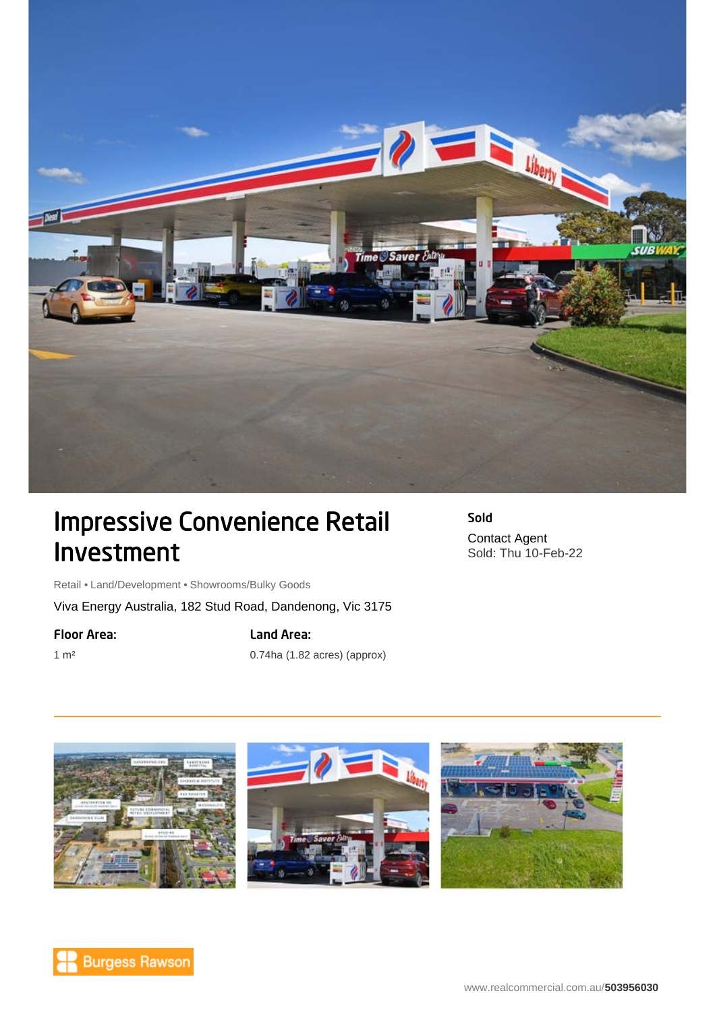

## Impressive Convenience Retail Investment

Sold Contact Agent Sold: Thu 10-Feb-22

Retail • Land/Development • Showrooms/Bulky Goods

Viva Energy Australia, 182 Stud Road, Dandenong, Vic 3175

## Floor Area:

1 m²

Land Area:

0.74ha (1.82 acres) (approx)